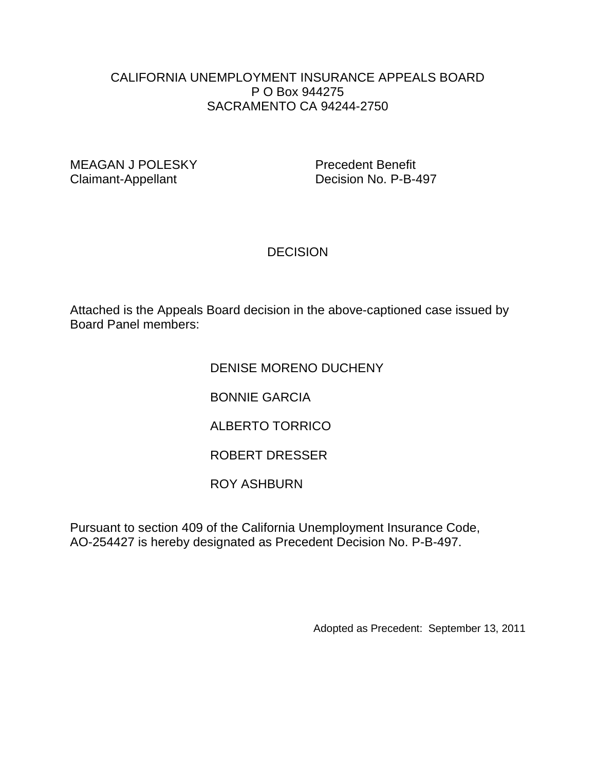## CALIFORNIA UNEMPLOYMENT INSURANCE APPEALS BOARD P O Box 944275 SACRAMENTO CA 94244-2750

MEAGAN J POLESKY Precedent Benefit Claimant-Appellant Decision No. P-B-497

## **DECISION**

Attached is the Appeals Board decision in the above-captioned case issued by Board Panel members:

## DENISE MORENO DUCHENY

BONNIE GARCIA

ALBERTO TORRICO

ROBERT DRESSER

ROY ASHBURN

Pursuant to section 409 of the California Unemployment Insurance Code, AO-254427 is hereby designated as Precedent Decision No. P-B-497.

Adopted as Precedent: September 13, 2011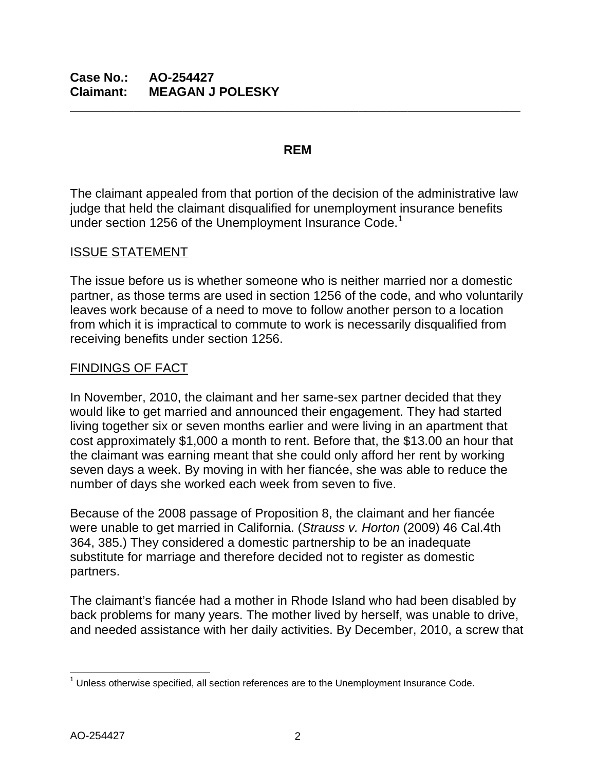#### **REM**

**\_\_\_\_\_\_\_\_\_\_\_\_\_\_\_\_\_\_\_\_\_\_\_\_\_\_\_\_\_\_\_\_\_\_\_\_\_\_\_\_\_\_\_\_\_\_\_\_\_\_\_\_\_\_\_\_\_\_\_\_\_\_\_\_**

The claimant appealed from that portion of the decision of the administrative law judge that held the claimant disqualified for unemployment insurance benefits under section [1](#page-1-0)256 of the Unemployment Insurance Code.<sup>1</sup>

## ISSUE STATEMENT

The issue before us is whether someone who is neither married nor a domestic partner, as those terms are used in section 1256 of the code, and who voluntarily leaves work because of a need to move to follow another person to a location from which it is impractical to commute to work is necessarily disqualified from receiving benefits under section 1256.

## FINDINGS OF FACT

In November, 2010, the claimant and her same-sex partner decided that they would like to get married and announced their engagement. They had started living together six or seven months earlier and were living in an apartment that cost approximately \$1,000 a month to rent. Before that, the \$13.00 an hour that the claimant was earning meant that she could only afford her rent by working seven days a week. By moving in with her fiancée, she was able to reduce the number of days she worked each week from seven to five.

Because of the 2008 passage of Proposition 8, the claimant and her fiancée were unable to get married in California. (*Strauss v. Horton* (2009) 46 Cal.4th 364, 385.) They considered a domestic partnership to be an inadequate substitute for marriage and therefore decided not to register as domestic partners.

The claimant's fiancée had a mother in Rhode Island who had been disabled by back problems for many years. The mother lived by herself, was unable to drive, and needed assistance with her daily activities. By December, 2010, a screw that

<span id="page-1-0"></span> $1$  Unless otherwise specified, all section references are to the Unemployment Insurance Code.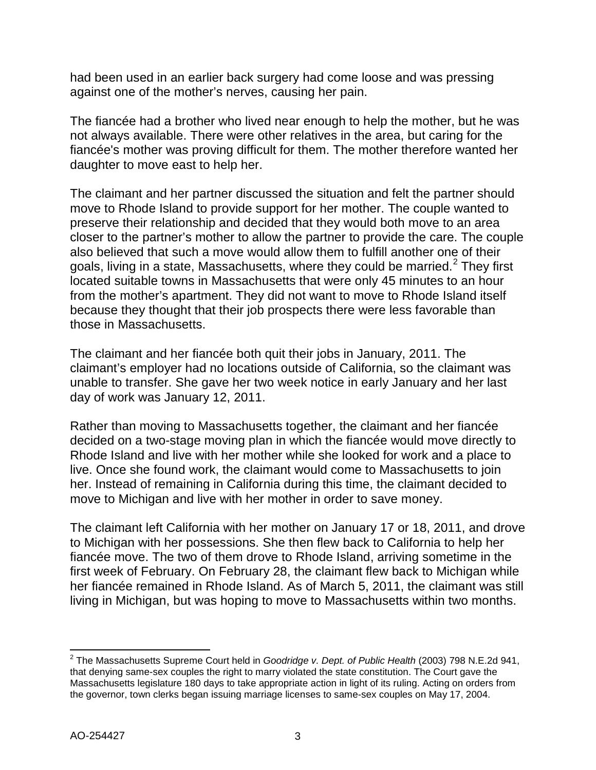had been used in an earlier back surgery had come loose and was pressing against one of the mother's nerves, causing her pain.

The fiancée had a brother who lived near enough to help the mother, but he was not always available. There were other relatives in the area, but caring for the fiancée's mother was proving difficult for them. The mother therefore wanted her daughter to move east to help her.

The claimant and her partner discussed the situation and felt the partner should move to Rhode Island to provide support for her mother. The couple wanted to preserve their relationship and decided that they would both move to an area closer to the partner's mother to allow the partner to provide the care. The couple also believed that such a move would allow them to fulfill another one of their goals, living in a state, Massachusetts, where they could be married. $2$  They first located suitable towns in Massachusetts that were only 45 minutes to an hour from the mother's apartment. They did not want to move to Rhode Island itself because they thought that their job prospects there were less favorable than those in Massachusetts.

The claimant and her fiancée both quit their jobs in January, 2011. The claimant's employer had no locations outside of California, so the claimant was unable to transfer. She gave her two week notice in early January and her last day of work was January 12, 2011.

Rather than moving to Massachusetts together, the claimant and her fiancée decided on a two-stage moving plan in which the fiancée would move directly to Rhode Island and live with her mother while she looked for work and a place to live. Once she found work, the claimant would come to Massachusetts to join her. Instead of remaining in California during this time, the claimant decided to move to Michigan and live with her mother in order to save money.

The claimant left California with her mother on January 17 or 18, 2011, and drove to Michigan with her possessions. She then flew back to California to help her fiancée move. The two of them drove to Rhode Island, arriving sometime in the first week of February. On February 28, the claimant flew back to Michigan while her fiancée remained in Rhode Island. As of March 5, 2011, the claimant was still living in Michigan, but was hoping to move to Massachusetts within two months.

<span id="page-2-0"></span> <sup>2</sup> The Massachusetts Supreme Court held in *Goodridge v. Dept. of Public Health* (2003) 798 N.E.2d 941, that denying same-sex couples the right to marry violated the state constitution. The Court gave the Massachusetts legislature 180 days to take appropriate action in light of its ruling. Acting on orders from the governor, town clerks began issuing marriage licenses to same-sex couples on May 17, 2004.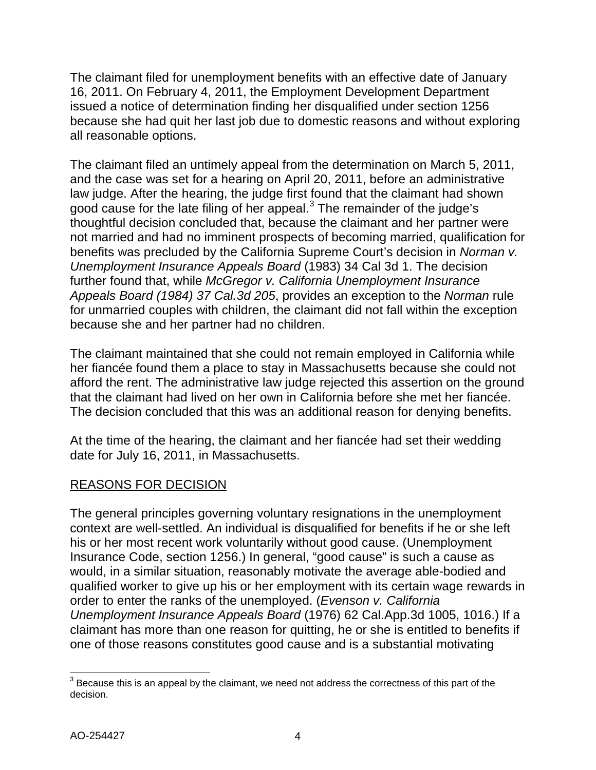The claimant filed for unemployment benefits with an effective date of January 16, 2011. On February 4, 2011, the Employment Development Department issued a notice of determination finding her disqualified under section 1256 because she had quit her last job due to domestic reasons and without exploring all reasonable options.

The claimant filed an untimely appeal from the determination on March 5, 2011, and the case was set for a hearing on April 20, 2011, before an administrative law judge. After the hearing, the judge first found that the claimant had shown good cause for the late filing of her appeal. $3$  The remainder of the judge's thoughtful decision concluded that, because the claimant and her partner were not married and had no imminent prospects of becoming married, qualification for benefits was precluded by the California Supreme Court's decision in *Norman v. Unemployment Insurance Appeals Board* (1983) 34 Cal 3d 1. The decision further found that, while *McGregor v. California Unemployment Insurance Appeals Board (1984) 37 Cal.3d 205*, provides an exception to the *Norman* rule for unmarried couples with children, the claimant did not fall within the exception because she and her partner had no children.

The claimant maintained that she could not remain employed in California while her fiancée found them a place to stay in Massachusetts because she could not afford the rent. The administrative law judge rejected this assertion on the ground that the claimant had lived on her own in California before she met her fiancée. The decision concluded that this was an additional reason for denying benefits.

At the time of the hearing, the claimant and her fiancée had set their wedding date for July 16, 2011, in Massachusetts.

# REASONS FOR DECISION

The general principles governing voluntary resignations in the unemployment context are well-settled. An individual is disqualified for benefits if he or she left his or her most recent work voluntarily without good cause. (Unemployment Insurance Code, section 1256.) In general, "good cause" is such a cause as would, in a similar situation, reasonably motivate the average able-bodied and qualified worker to give up his or her employment with its certain wage rewards in order to enter the ranks of the unemployed. (*Evenson v. California Unemployment Insurance Appeals Board* (1976) 62 Cal.App.3d 1005, 1016.) If a claimant has more than one reason for quitting, he or she is entitled to benefits if one of those reasons constitutes good cause and is a substantial motivating

<span id="page-3-0"></span> $3$  Because this is an appeal by the claimant, we need not address the correctness of this part of the decision.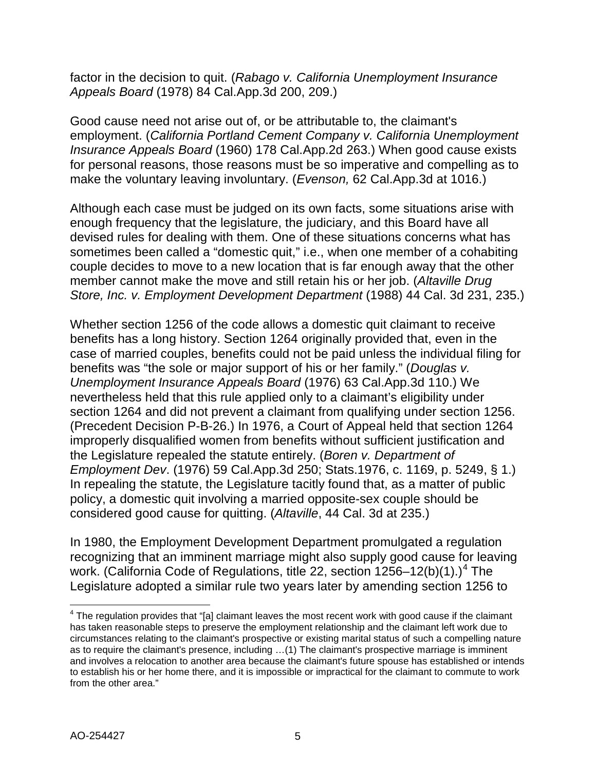factor in the decision to quit. (*Rabago v. California Unemployment Insurance Appeals Board* (1978) 84 Cal.App.3d 200, 209.)

Good cause need not arise out of, or be attributable to, the claimant's employment. (*California Portland Cement Company v. California Unemployment Insurance Appeals Board* (1960) 178 Cal.App.2d 263.) When good cause exists for personal reasons, those reasons must be so imperative and compelling as to make the voluntary leaving involuntary. (*Evenson,* 62 Cal.App.3d at 1016.)

Although each case must be judged on its own facts, some situations arise with enough frequency that the legislature, the judiciary, and this Board have all devised rules for dealing with them. One of these situations concerns what has sometimes been called a "domestic quit," i.e., when one member of a cohabiting couple decides to move to a new location that is far enough away that the other member cannot make the move and still retain his or her job. (*Altaville Drug Store, Inc. v. Employment Development Department* (1988) 44 Cal. 3d 231, 235.)

Whether section 1256 of the code allows a domestic quit claimant to receive benefits has a long history. Section 1264 originally provided that, even in the case of married couples, benefits could not be paid unless the individual filing for benefits was "the sole or major support of his or her family." (*Douglas v. Unemployment Insurance Appeals Board* (1976) 63 Cal.App.3d 110.) We nevertheless held that this rule applied only to a claimant's eligibility under section 1264 and did not prevent a claimant from qualifying under section 1256. (Precedent Decision P-B-26.) In 1976, a Court of Appeal held that section 1264 improperly disqualified women from benefits without sufficient justification and the Legislature repealed the statute entirely. (*Boren v. Department of Employment Dev*. (1976) 59 Cal.App.3d 250; Stats.1976, c. 1169, p. 5249, § 1.) In repealing the statute, the Legislature tacitly found that, as a matter of public policy, a domestic quit involving a married opposite-sex couple should be considered good cause for quitting. (*Altaville*, 44 Cal. 3d at 235.)

In 1980, the Employment Development Department promulgated a regulation recognizing that an imminent marriage might also supply good cause for leaving work. (California Code of Regulations, title 22, section  $1256-12(b)(1)$ .)<sup>[4](#page-4-0)</sup> The Legislature adopted a similar rule two years later by amending section 1256 to

<span id="page-4-0"></span> $4$  The regulation provides that "[a] claimant leaves the most recent work with good cause if the claimant has taken reasonable steps to preserve the employment relationship and the claimant left work due to circumstances relating to the claimant's prospective or existing marital status of such a compelling nature as to require the claimant's presence, including …(1) The claimant's prospective marriage is imminent and involves a relocation to another area because the claimant's future spouse has established or intends to establish his or her home there, and it is impossible or impractical for the claimant to commute to work from the other area."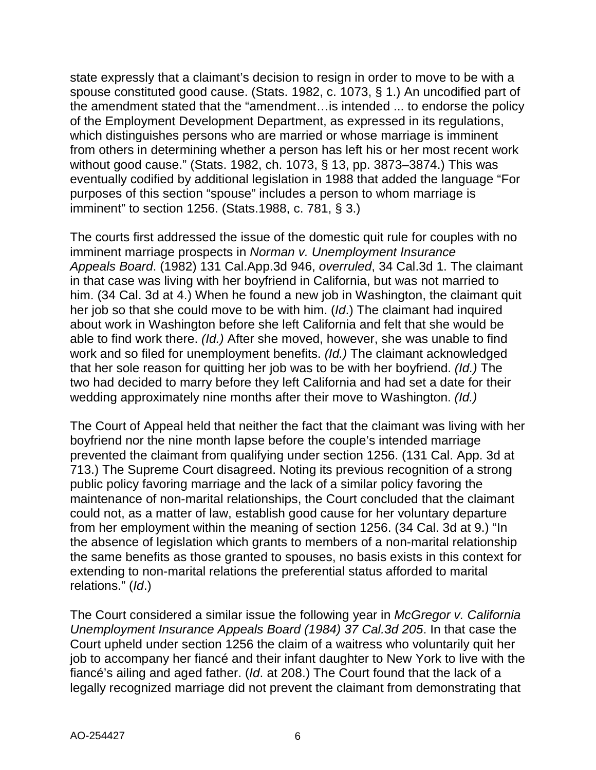state expressly that a claimant's decision to resign in order to move to be with a spouse constituted good cause. (Stats. 1982, c. 1073, § 1.) An uncodified part of the amendment stated that the "amendment…is intended ... to endorse the policy of the Employment Development Department, as expressed in its regulations, which distinguishes persons who are married or whose marriage is imminent from others in determining whether a person has left his or her most recent work without good cause." (Stats. 1982, ch. 1073, § 13, pp. 3873–3874.) This was eventually codified by additional legislation in 1988 that added the language "For purposes of this section "spouse" includes a person to whom marriage is imminent" to section 1256. (Stats.1988, c. 781, § 3.)

The courts first addressed the issue of the domestic quit rule for couples with no imminent marriage prospects in *Norman v. Unemployment Insurance Appeals Board*. (1982) 131 Cal.App.3d 946, *overruled*, 34 Cal.3d 1. The claimant in that case was living with her boyfriend in California, but was not married to him. (34 Cal. 3d at 4.) When he found a new job in Washington, the claimant quit her job so that she could move to be with him. (*Id*.) The claimant had inquired about work in Washington before she left California and felt that she would be able to find work there. *(Id.)* After she moved, however, she was unable to find work and so filed for unemployment benefits. *(Id.)* The claimant acknowledged that her sole reason for quitting her job was to be with her boyfriend. *(Id.)* The two had decided to marry before they left California and had set a date for their wedding approximately nine months after their move to Washington. *(Id.)*

The Court of Appeal held that neither the fact that the claimant was living with her boyfriend nor the nine month lapse before the couple's intended marriage prevented the claimant from qualifying under section 1256. (131 Cal. App. 3d at 713.) The Supreme Court disagreed. Noting its previous recognition of a strong public policy favoring marriage and the lack of a similar policy favoring the maintenance of non-marital relationships, the Court concluded that the claimant could not, as a matter of law, establish good cause for her voluntary departure from her employment within the meaning of section 1256. (34 Cal. 3d at 9.) "In the absence of legislation which grants to members of a non-marital relationship the same benefits as those granted to spouses, no basis exists in this context for extending to non-marital relations the preferential status afforded to marital relations." (*Id*.)

The Court considered a similar issue the following year in *McGregor v. California Unemployment Insurance Appeals Board (1984) 37 Cal.3d 205*. In that case the Court upheld under section 1256 the claim of a waitress who voluntarily quit her job to accompany her fiancé and their infant daughter to New York to live with the fiancé's ailing and aged father. (*Id*. at 208.) The Court found that the lack of a legally recognized marriage did not prevent the claimant from demonstrating that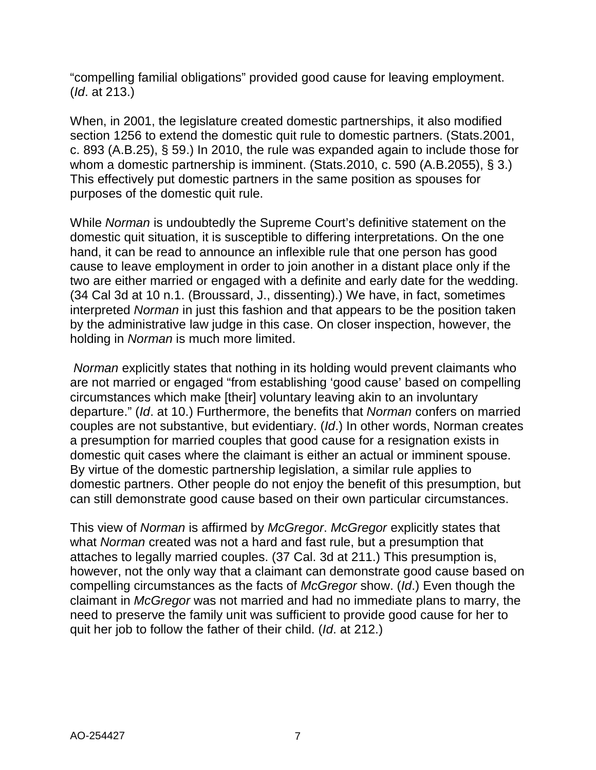"compelling familial obligations" provided good cause for leaving employment. (*Id*. at 213.)

When, in 2001, the legislature created domestic partnerships, it also modified section 1256 to extend the domestic quit rule to domestic partners. (Stats.2001, c. 893 (A.B.25), § 59.) In 2010, the rule was expanded again to include those for whom a domestic partnership is imminent. (Stats.2010, c. 590 (A.B.2055), § 3.) This effectively put domestic partners in the same position as spouses for purposes of the domestic quit rule.

While *Norman* is undoubtedly the Supreme Court's definitive statement on the domestic quit situation, it is susceptible to differing interpretations. On the one hand, it can be read to announce an inflexible rule that one person has good cause to leave employment in order to join another in a distant place only if the two are either married or engaged with a definite and early date for the wedding. (34 Cal 3d at 10 n.1. (Broussard, J., dissenting).) We have, in fact, sometimes interpreted *Norman* in just this fashion and that appears to be the position taken by the administrative law judge in this case. On closer inspection, however, the holding in *Norman* is much more limited.

*Norman* explicitly states that nothing in its holding would prevent claimants who are not married or engaged "from establishing 'good cause' based on compelling circumstances which make [their] voluntary leaving akin to an involuntary departure." (*Id*. at 10.) Furthermore, the benefits that *Norman* confers on married couples are not substantive, but evidentiary. (*Id*.) In other words, Norman creates a presumption for married couples that good cause for a resignation exists in domestic quit cases where the claimant is either an actual or imminent spouse. By virtue of the domestic partnership legislation, a similar rule applies to domestic partners. Other people do not enjoy the benefit of this presumption, but can still demonstrate good cause based on their own particular circumstances.

This view of *Norman* is affirmed by *McGregor*. *McGregor* explicitly states that what *Norman* created was not a hard and fast rule, but a presumption that attaches to legally married couples. (37 Cal. 3d at 211.) This presumption is, however, not the only way that a claimant can demonstrate good cause based on compelling circumstances as the facts of *McGregor* show. (*Id*.) Even though the claimant in *McGregor* was not married and had no immediate plans to marry, the need to preserve the family unit was sufficient to provide good cause for her to quit her job to follow the father of their child. (*Id*. at 212.)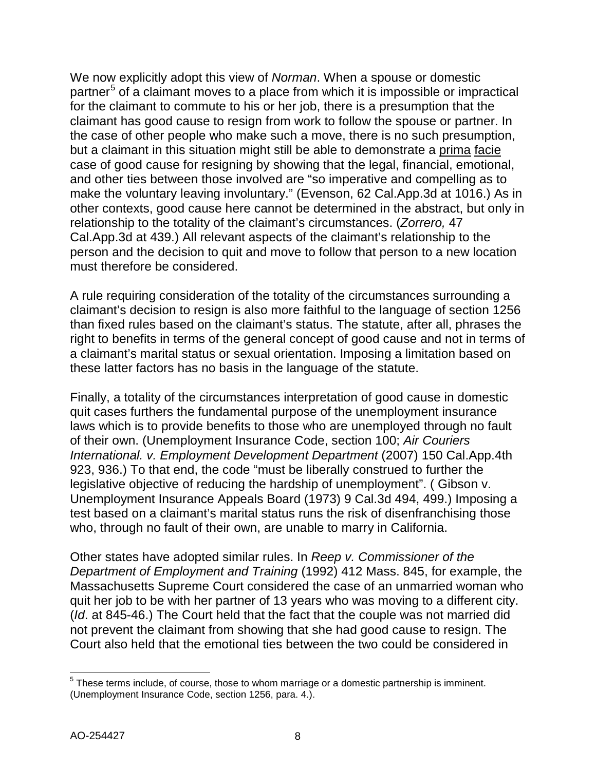We now explicitly adopt this view of *Norman*. When a spouse or domestic partner<sup>[5](#page-7-0)</sup> of a claimant moves to a place from which it is impossible or impractical for the claimant to commute to his or her job, there is a presumption that the claimant has good cause to resign from work to follow the spouse or partner. In the case of other people who make such a move, there is no such presumption, but a claimant in this situation might still be able to demonstrate a prima facie case of good cause for resigning by showing that the legal, financial, emotional, and other ties between those involved are "so imperative and compelling as to make the voluntary leaving involuntary." (Evenson, 62 Cal.App.3d at 1016.) As in other contexts, good cause here cannot be determined in the abstract, but only in relationship to the totality of the claimant's circumstances. (*Zorrero,* 47 Cal.App.3d at 439.) All relevant aspects of the claimant's relationship to the person and the decision to quit and move to follow that person to a new location must therefore be considered.

A rule requiring consideration of the totality of the circumstances surrounding a claimant's decision to resign is also more faithful to the language of section 1256 than fixed rules based on the claimant's status. The statute, after all, phrases the right to benefits in terms of the general concept of good cause and not in terms of a claimant's marital status or sexual orientation. Imposing a limitation based on these latter factors has no basis in the language of the statute.

Finally, a totality of the circumstances interpretation of good cause in domestic quit cases furthers the fundamental purpose of the unemployment insurance laws which is to provide benefits to those who are unemployed through no fault of their own. (Unemployment Insurance Code, section 100; *Air Couriers International. v. Employment Development Department* (2007) 150 Cal.App.4th 923, 936.) To that end, the code "must be liberally construed to further the legislative objective of reducing the hardship of unemployment". ( Gibson v. Unemployment Insurance Appeals Board (1973) 9 Cal.3d 494, 499.) Imposing a test based on a claimant's marital status runs the risk of disenfranchising those who, through no fault of their own, are unable to marry in California.

Other states have adopted similar rules. In *Reep v. Commissioner of the Department of Employment and Training* (1992) 412 Mass. 845, for example, the Massachusetts Supreme Court considered the case of an unmarried woman who quit her job to be with her partner of 13 years who was moving to a different city. (*Id*. at 845-46.) The Court held that the fact that the couple was not married did not prevent the claimant from showing that she had good cause to resign. The Court also held that the emotional ties between the two could be considered in

<span id="page-7-0"></span> $5$  These terms include, of course, those to whom marriage or a domestic partnership is imminent. (Unemployment Insurance Code, section 1256, para. 4.).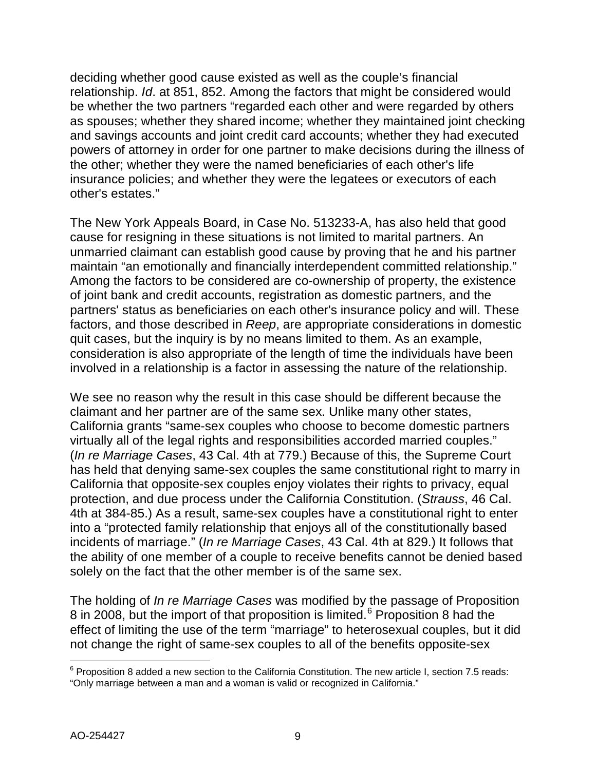deciding whether good cause existed as well as the couple's financial relationship. *Id*. at 851, 852. Among the factors that might be considered would be whether the two partners "regarded each other and were regarded by others as spouses; whether they shared income; whether they maintained joint checking and savings accounts and joint credit card accounts; whether they had executed powers of attorney in order for one partner to make decisions during the illness of the other; whether they were the named beneficiaries of each other's life insurance policies; and whether they were the legatees or executors of each other's estates."

The New York Appeals Board, in Case No. 513233-A, has also held that good cause for resigning in these situations is not limited to marital partners. An unmarried claimant can establish good cause by proving that he and his partner maintain "an emotionally and financially interdependent committed relationship." Among the factors to be considered are co-ownership of property, the existence of joint bank and credit accounts, registration as domestic partners, and the partners' status as beneficiaries on each other's insurance policy and will. These factors, and those described in *Reep*, are appropriate considerations in domestic quit cases, but the inquiry is by no means limited to them. As an example, consideration is also appropriate of the length of time the individuals have been involved in a relationship is a factor in assessing the nature of the relationship.

We see no reason why the result in this case should be different because the claimant and her partner are of the same sex. Unlike many other states, California grants "same-sex couples who choose to become domestic partners virtually all of the legal rights and responsibilities accorded married couples." (*In re Marriage Cases*, 43 Cal. 4th at 779.) Because of this, the Supreme Court has held that denying same-sex couples the same constitutional right to marry in California that opposite-sex couples enjoy violates their rights to privacy, equal protection, and due process under the California Constitution. (*Strauss*, 46 Cal. 4th at 384-85.) As a result, same-sex couples have a constitutional right to enter into a "protected family relationship that enjoys all of the constitutionally based incidents of marriage." (*In re Marriage Cases*, 43 Cal. 4th at 829.) It follows that the ability of one member of a couple to receive benefits cannot be denied based solely on the fact that the other member is of the same sex.

The holding of *In re Marriage Cases* was modified by the passage of Proposition 8 in 2008, but the import of that proposition is limited.<sup>[6](#page-8-0)</sup> Proposition 8 had the effect of limiting the use of the term "marriage" to heterosexual couples, but it did not change the right of same-sex couples to all of the benefits opposite-sex

<span id="page-8-0"></span> $6$  Proposition 8 added a new section to the California Constitution. The new article I, section 7.5 reads: "Only marriage between a man and a woman is valid or recognized in California."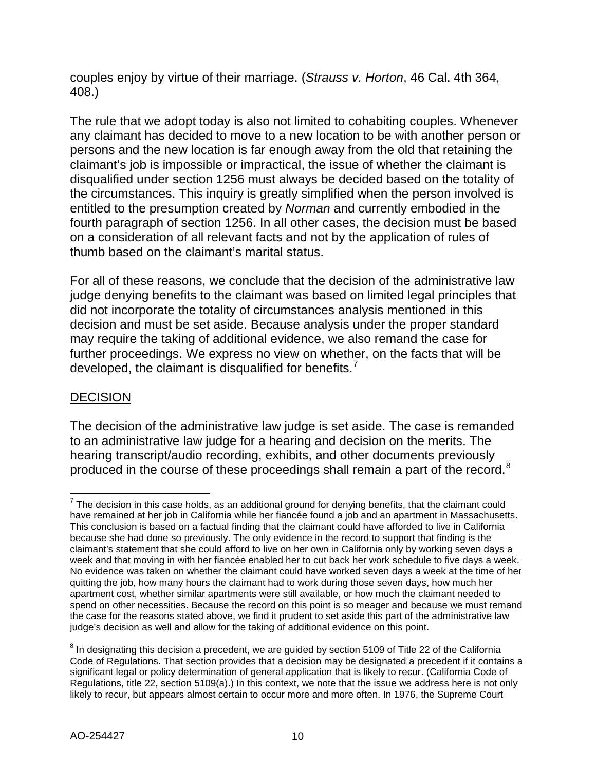couples enjoy by virtue of their marriage. (*Strauss v. Horton*, 46 Cal. 4th 364, 408.)

The rule that we adopt today is also not limited to cohabiting couples. Whenever any claimant has decided to move to a new location to be with another person or persons and the new location is far enough away from the old that retaining the claimant's job is impossible or impractical, the issue of whether the claimant is disqualified under section 1256 must always be decided based on the totality of the circumstances. This inquiry is greatly simplified when the person involved is entitled to the presumption created by *Norman* and currently embodied in the fourth paragraph of section 1256. In all other cases, the decision must be based on a consideration of all relevant facts and not by the application of rules of thumb based on the claimant's marital status.

For all of these reasons, we conclude that the decision of the administrative law judge denying benefits to the claimant was based on limited legal principles that did not incorporate the totality of circumstances analysis mentioned in this decision and must be set aside. Because analysis under the proper standard may require the taking of additional evidence, we also remand the case for further proceedings. We express no view on whether, on the facts that will be developed, the claimant is disqualified for benefits.

# DECISION

The decision of the administrative law judge is set aside. The case is remanded to an administrative law judge for a hearing and decision on the merits. The hearing transcript/audio recording, exhibits, and other documents previously produced in the course of these proceedings shall remain a part of the record.<sup>[8](#page-9-1)</sup>

<span id="page-9-0"></span> $7$  The decision in this case holds, as an additional ground for denying benefits, that the claimant could have remained at her job in California while her fiancée found a job and an apartment in Massachusetts. This conclusion is based on a factual finding that the claimant could have afforded to live in California because she had done so previously. The only evidence in the record to support that finding is the claimant's statement that she could afford to live on her own in California only by working seven days a week and that moving in with her fiancée enabled her to cut back her work schedule to five days a week. No evidence was taken on whether the claimant could have worked seven days a week at the time of her quitting the job, how many hours the claimant had to work during those seven days, how much her apartment cost, whether similar apartments were still available, or how much the claimant needed to spend on other necessities. Because the record on this point is so meager and because we must remand the case for the reasons stated above, we find it prudent to set aside this part of the administrative law judge's decision as well and allow for the taking of additional evidence on this point.

<span id="page-9-1"></span> $8$  In designating this decision a precedent, we are guided by section 5109 of Title 22 of the California Code of Regulations. That section provides that a decision may be designated a precedent if it contains a significant legal or policy determination of general application that is likely to recur. (California Code of Regulations, title 22, section 5109(a).) In this context, we note that the issue we address here is not only likely to recur, but appears almost certain to occur more and more often. In 1976, the Supreme Court